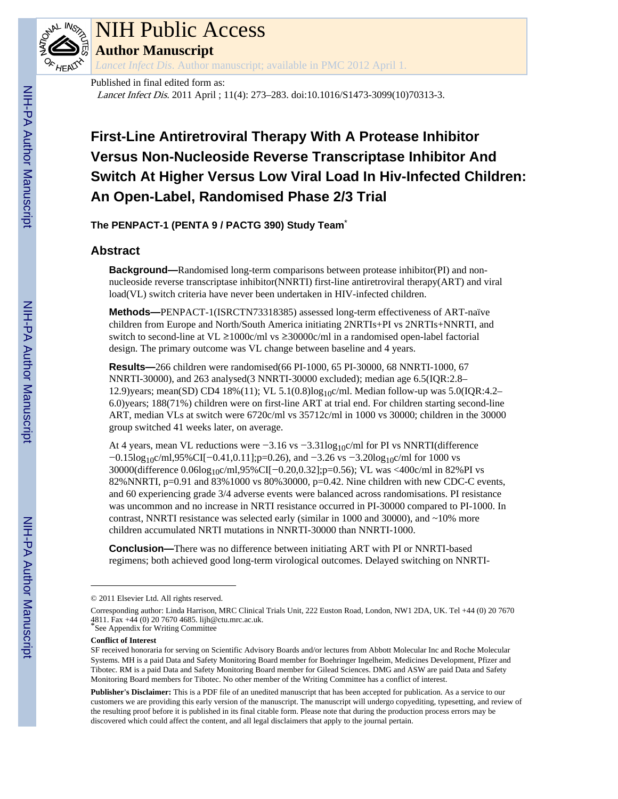

# NIH Public Access

**Author Manuscript**

*Lancet Infect Dis*. Author manuscript; available in PMC 2012 April 1.

Published in final edited form as: Lancet Infect Dis. 2011 April ; 11(4): 273–283. doi:10.1016/S1473-3099(10)70313-3.

# **First-Line Antiretroviral Therapy With A Protease Inhibitor Versus Non-Nucleoside Reverse Transcriptase Inhibitor And Switch At Higher Versus Low Viral Load In Hiv-Infected Children: An Open-Label, Randomised Phase 2/3 Trial**

**The PENPACT-1 (PENTA 9 / PACTG 390) Study Team**\*

# **Abstract**

**Background—**Randomised long-term comparisons between protease inhibitor(PI) and nonnucleoside reverse transcriptase inhibitor(NNRTI) first-line antiretroviral therapy(ART) and viral load(VL) switch criteria have never been undertaken in HIV-infected children.

**Methods—**PENPACT-1(ISRCTN73318385) assessed long-term effectiveness of ART-naïve children from Europe and North/South America initiating 2NRTIs+PI vs 2NRTIs+NNRTI, and switch to second-line at VL  $\geq$ 1000c/ml vs  $\geq$ 30000c/ml in a randomised open-label factorial design. The primary outcome was VL change between baseline and 4 years.

**Results—**266 children were randomised(66 PI-1000, 65 PI-30000, 68 NNRTI-1000, 67 NNRTI-30000), and 263 analysed(3 NNRTI-30000 excluded); median age 6.5(IQR:2.8– 12.9)years; mean(SD) CD4 18%(11); VL 5.1(0.8) $log_{10}$ c/ml. Median follow-up was 5.0(IOR:4.2– 6.0)years; 188(71%) children were on first-line ART at trial end. For children starting second-line ART, median VLs at switch were 6720c/ml vs 35712c/ml in 1000 vs 30000; children in the 30000 group switched 41 weeks later, on average.

At 4 years, mean VL reductions were −3.16 vs −3.31log<sub>10</sub>c/ml for PI vs NNRTI(difference  $-0.15\log_{10}c/\text{ml}$ ,95%CI[ $-0.41$ ,0.11];p=0.26), and  $-3.26$  vs  $-3.20\log_{10}c/\text{ml}$  for 1000 vs 30000(difference 0.06log10c/ml,95%CI[−0.20,0.32];p=0.56); VL was <400c/ml in 82%PI vs 82%NNRTI, p=0.91 and 83%1000 vs 80%30000, p=0.42. Nine children with new CDC-C events, and 60 experiencing grade 3/4 adverse events were balanced across randomisations. PI resistance was uncommon and no increase in NRTI resistance occurred in PI-30000 compared to PI-1000. In contrast, NNRTI resistance was selected early (similar in 1000 and 30000), and  $\sim$ 10% more children accumulated NRTI mutations in NNRTI-30000 than NNRTI-1000.

**Conclusion—**There was no difference between initiating ART with PI or NNRTI-based regimens; both achieved good long-term virological outcomes. Delayed switching on NNRTI-

<sup>© 2011</sup> Elsevier Ltd. All rights reserved.

Corresponding author: Linda Harrison, MRC Clinical Trials Unit, 222 Euston Road, London, NW1 2DA, UK. Tel +44 (0) 20 7670 4811. Fax +44 (0) 20 7670 4685. lijh@ctu.mrc.ac.uk.

<sup>\*</sup>See Appendix for Writing Committee

**Conflict of Interest**

SF received honoraria for serving on Scientific Advisory Boards and/or lectures from Abbott Molecular Inc and Roche Molecular Systems. MH is a paid Data and Safety Monitoring Board member for Boehringer Ingelheim, Medicines Development, Pfizer and Tibotec. RM is a paid Data and Safety Monitoring Board member for Gilead Sciences. DMG and ASW are paid Data and Safety Monitoring Board members for Tibotec. No other member of the Writing Committee has a conflict of interest.

**Publisher's Disclaimer:** This is a PDF file of an unedited manuscript that has been accepted for publication. As a service to our customers we are providing this early version of the manuscript. The manuscript will undergo copyediting, typesetting, and review of the resulting proof before it is published in its final citable form. Please note that during the production process errors may be discovered which could affect the content, and all legal disclaimers that apply to the journal pertain.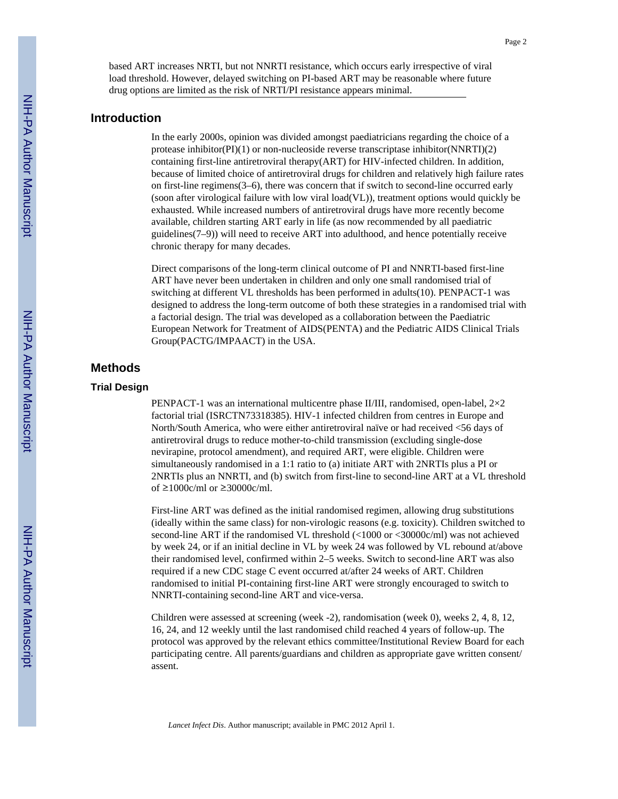based ART increases NRTI, but not NNRTI resistance, which occurs early irrespective of viral load threshold. However, delayed switching on PI-based ART may be reasonable where future drug options are limited as the risk of NRTI/PI resistance appears minimal.

# **Introduction**

In the early 2000s, opinion was divided amongst paediatricians regarding the choice of a protease inhibitor(PI)(1) or non-nucleoside reverse transcriptase inhibitor(NNRTI)(2) containing first-line antiretroviral therapy(ART) for HIV-infected children. In addition, because of limited choice of antiretroviral drugs for children and relatively high failure rates on first-line regimens(3–6), there was concern that if switch to second-line occurred early (soon after virological failure with low viral load(VL)), treatment options would quickly be exhausted. While increased numbers of antiretroviral drugs have more recently become available, children starting ART early in life (as now recommended by all paediatric guidelines(7–9)) will need to receive ART into adulthood, and hence potentially receive chronic therapy for many decades.

Direct comparisons of the long-term clinical outcome of PI and NNRTI-based first-line ART have never been undertaken in children and only one small randomised trial of switching at different VL thresholds has been performed in adults(10). PENPACT-1 was designed to address the long-term outcome of both these strategies in a randomised trial with a factorial design. The trial was developed as a collaboration between the Paediatric European Network for Treatment of AIDS(PENTA) and the Pediatric AIDS Clinical Trials Group(PACTG/IMPAACT) in the USA.

# **Methods**

#### **Trial Design**

PENPACT-1 was an international multicentre phase II/III, randomised, open-label, 2×2 factorial trial (ISRCTN73318385). HIV-1 infected children from centres in Europe and North/South America, who were either antiretroviral naïve or had received <56 days of antiretroviral drugs to reduce mother-to-child transmission (excluding single-dose nevirapine, protocol amendment), and required ART, were eligible. Children were simultaneously randomised in a 1:1 ratio to (a) initiate ART with 2NRTIs plus a PI or 2NRTIs plus an NNRTI, and (b) switch from first-line to second-line ART at a VL threshold of  $\geq$ 1000c/ml or  $\geq$ 30000c/ml.

First-line ART was defined as the initial randomised regimen, allowing drug substitutions (ideally within the same class) for non-virologic reasons (e.g. toxicity). Children switched to second-line ART if the randomised VL threshold (<1000 or <30000c/ml) was not achieved by week 24, or if an initial decline in VL by week 24 was followed by VL rebound at/above their randomised level, confirmed within 2–5 weeks. Switch to second-line ART was also required if a new CDC stage C event occurred at/after 24 weeks of ART. Children randomised to initial PI-containing first-line ART were strongly encouraged to switch to NNRTI-containing second-line ART and vice-versa.

Children were assessed at screening (week -2), randomisation (week 0), weeks 2, 4, 8, 12, 16, 24, and 12 weekly until the last randomised child reached 4 years of follow-up. The protocol was approved by the relevant ethics committee/Institutional Review Board for each participating centre. All parents/guardians and children as appropriate gave written consent/ assent.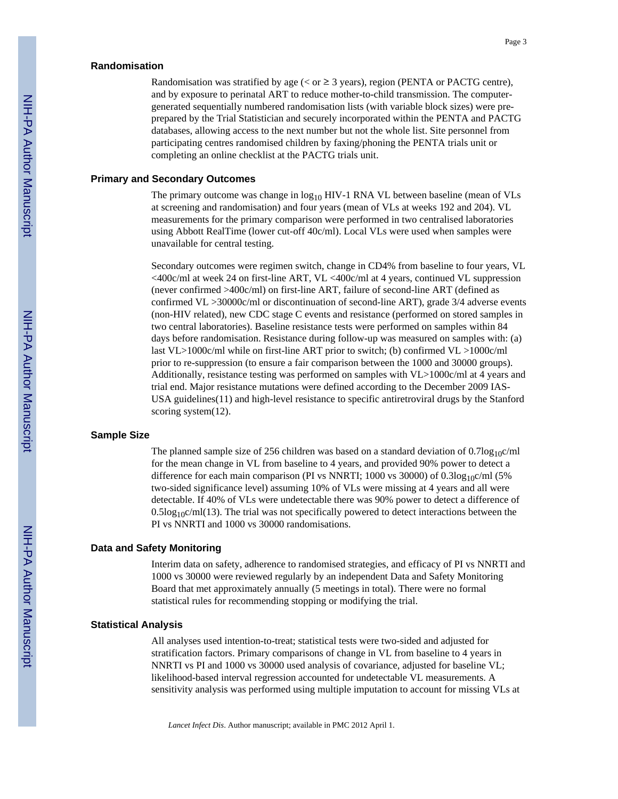#### **Randomisation**

Randomisation was stratified by age ( $\lt$  or  $\geq$  3 years), region (PENTA or PACTG centre), and by exposure to perinatal ART to reduce mother-to-child transmission. The computergenerated sequentially numbered randomisation lists (with variable block sizes) were preprepared by the Trial Statistician and securely incorporated within the PENTA and PACTG databases, allowing access to the next number but not the whole list. Site personnel from participating centres randomised children by faxing/phoning the PENTA trials unit or completing an online checklist at the PACTG trials unit.

#### **Primary and Secondary Outcomes**

The primary outcome was change in  $log_{10}$  HIV-1 RNA VL between baseline (mean of VLs at screening and randomisation) and four years (mean of VLs at weeks 192 and 204). VL measurements for the primary comparison were performed in two centralised laboratories using Abbott RealTime (lower cut-off 40c/ml). Local VLs were used when samples were unavailable for central testing.

Secondary outcomes were regimen switch, change in CD4% from baseline to four years, VL <400c/ml at week 24 on first-line ART, VL <400c/ml at 4 years, continued VL suppression (never confirmed >400c/ml) on first-line ART, failure of second-line ART (defined as confirmed VL >30000c/ml or discontinuation of second-line ART), grade 3/4 adverse events (non-HIV related), new CDC stage C events and resistance (performed on stored samples in two central laboratories). Baseline resistance tests were performed on samples within 84 days before randomisation. Resistance during follow-up was measured on samples with: (a) last VL>1000c/ml while on first-line ART prior to switch; (b) confirmed VL >1000c/ml prior to re-suppression (to ensure a fair comparison between the 1000 and 30000 groups). Additionally, resistance testing was performed on samples with VL>1000c/ml at 4 years and trial end. Major resistance mutations were defined according to the December 2009 IAS-USA guidelines(11) and high-level resistance to specific antiretroviral drugs by the Stanford scoring system(12).

#### **Sample Size**

The planned sample size of 256 children was based on a standard deviation of  $0.7\log_{10}c/ml$ for the mean change in VL from baseline to 4 years, and provided 90% power to detect a difference for each main comparison (PI vs NNRTI; 1000 vs 30000) of  $0.3\log_{10}$ c/ml (5% two-sided significance level) assuming 10% of VLs were missing at 4 years and all were detectable. If 40% of VLs were undetectable there was 90% power to detect a difference of  $0.5\log_{10}c/\text{ml}(13)$ . The trial was not specifically powered to detect interactions between the PI vs NNRTI and 1000 vs 30000 randomisations.

#### **Data and Safety Monitoring**

Interim data on safety, adherence to randomised strategies, and efficacy of PI vs NNRTI and 1000 vs 30000 were reviewed regularly by an independent Data and Safety Monitoring Board that met approximately annually (5 meetings in total). There were no formal statistical rules for recommending stopping or modifying the trial.

#### **Statistical Analysis**

All analyses used intention-to-treat; statistical tests were two-sided and adjusted for stratification factors. Primary comparisons of change in VL from baseline to 4 years in NNRTI vs PI and 1000 vs 30000 used analysis of covariance, adjusted for baseline VL; likelihood-based interval regression accounted for undetectable VL measurements. A sensitivity analysis was performed using multiple imputation to account for missing VLs at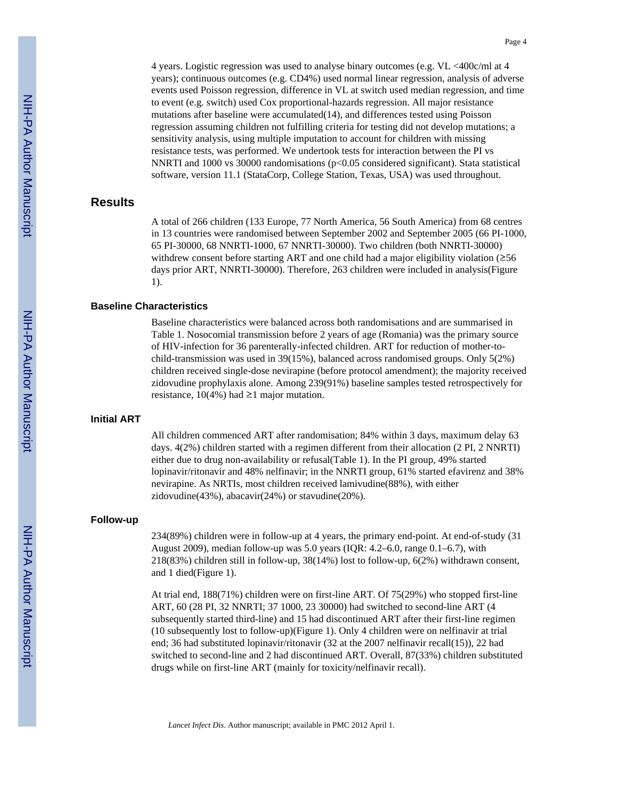4 years. Logistic regression was used to analyse binary outcomes (e.g. VL <400c/ml at 4 years); continuous outcomes (e.g. CD4%) used normal linear regression, analysis of adverse events used Poisson regression, difference in VL at switch used median regression, and time to event (e.g. switch) used Cox proportional-hazards regression. All major resistance mutations after baseline were accumulated(14), and differences tested using Poisson regression assuming children not fulfilling criteria for testing did not develop mutations; a sensitivity analysis, using multiple imputation to account for children with missing resistance tests, was performed. We undertook tests for interaction between the PI vs NNRTI and 1000 vs 30000 randomisations ( $p<0.05$  considered significant). Stata statistical software, version 11.1 (StataCorp, College Station, Texas, USA) was used throughout.

## **Results**

A total of 266 children (133 Europe, 77 North America, 56 South America) from 68 centres in 13 countries were randomised between September 2002 and September 2005 (66 PI-1000, 65 PI-30000, 68 NNRTI-1000, 67 NNRTI-30000). Two children (both NNRTI-30000) withdrew consent before starting ART and one child had a major eligibility violation ( $\geq$ 56 days prior ART, NNRTI-30000). Therefore, 263 children were included in analysis(Figure 1).

#### **Baseline Characteristics**

Baseline characteristics were balanced across both randomisations and are summarised in Table 1. Nosocomial transmission before 2 years of age (Romania) was the primary source of HIV-infection for 36 parenterally-infected children. ART for reduction of mother-tochild-transmission was used in 39(15%), balanced across randomised groups. Only 5(2%) children received single-dose nevirapine (before protocol amendment); the majority received zidovudine prophylaxis alone. Among 239(91%) baseline samples tested retrospectively for resistance,  $10(4%)$  had  $\geq 1$  major mutation.

#### **Initial ART**

All children commenced ART after randomisation; 84% within 3 days, maximum delay 63 days. 4(2%) children started with a regimen different from their allocation (2 PI, 2 NNRTI) either due to drug non-availability or refusal(Table 1). In the PI group, 49% started lopinavir/ritonavir and 48% nelfinavir; in the NNRTI group, 61% started efavirenz and 38% nevirapine. As NRTIs, most children received lamivudine(88%), with either zidovudine(43%), abacavir(24%) or stavudine(20%).

#### **Follow-up**

234(89%) children were in follow-up at 4 years, the primary end-point. At end-of-study (31 August 2009), median follow-up was 5.0 years (IQR: 4.2–6.0, range 0.1–6.7), with 218(83%) children still in follow-up, 38(14%) lost to follow-up, 6(2%) withdrawn consent, and 1 died(Figure 1).

At trial end, 188(71%) children were on first-line ART. Of 75(29%) who stopped first-line ART, 60 (28 PI, 32 NNRTI; 37 1000, 23 30000) had switched to second-line ART (4 subsequently started third-line) and 15 had discontinued ART after their first-line regimen (10 subsequently lost to follow-up)(Figure 1). Only 4 children were on nelfinavir at trial end; 36 had substituted lopinavir/ritonavir (32 at the 2007 nelfinavir recall(15)), 22 had switched to second-line and 2 had discontinued ART. Overall, 87(33%) children substituted drugs while on first-line ART (mainly for toxicity/nelfinavir recall).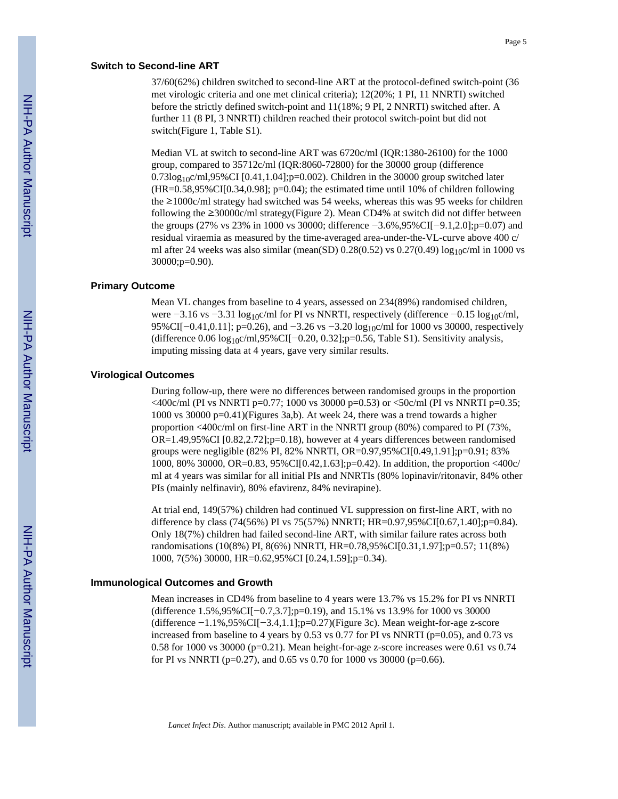#### **Switch to Second-line ART**

37/60(62%) children switched to second-line ART at the protocol-defined switch-point (36 met virologic criteria and one met clinical criteria); 12(20%; 1 PI, 11 NNRTI) switched before the strictly defined switch-point and 11(18%; 9 PI, 2 NNRTI) switched after. A further 11 (8 PI, 3 NNRTI) children reached their protocol switch-point but did not switch(Figure 1, Table S1).

Median VL at switch to second-line ART was 6720c/ml (IQR:1380-26100) for the 1000 group, compared to 35712c/ml (IQR:8060-72800) for the 30000 group (difference  $0.73\log_{10}c/\text{ml}$ ,95%CI [0.41,1.04];p=0.002). Children in the 30000 group switched later  $(HR=0.58,95\% \text{CI}[0.34,0.98]; p=0.04)$ ; the estimated time until 10% of children following the ≥1000c/ml strategy had switched was 54 weeks, whereas this was 95 weeks for children following the  $\geq$ 30000c/ml strategy(Figure 2). Mean CD4% at switch did not differ between the groups (27% vs 23% in 1000 vs 30000; difference −3.6%,95%CI[−9.1,2.0];p=0.07) and residual viraemia as measured by the time-averaged area-under-the-VL-curve above 400 c/ ml after 24 weeks was also similar (mean(SD)  $0.28(0.52)$  vs  $0.27(0.49)$  log<sub>10</sub>c/ml in 1000 vs 30000;p=0.90).

#### **Primary Outcome**

Mean VL changes from baseline to 4 years, assessed on 234(89%) randomised children, were  $-3.16$  vs  $-3.31 \log_{10}c/\text{ml}$  for PI vs NNRTI, respectively (difference  $-0.15 \log_{10}c/\text{ml}$ , 95% CI[-0.41,0.11]; p=0.26), and -3.26 vs -3.20 log<sub>10</sub>c/ml for 1000 vs 30000, respectively (difference 0.06 log10c/ml,95%CI[−0.20, 0.32];p=0.56, Table S1). Sensitivity analysis, imputing missing data at 4 years, gave very similar results.

#### **Virological Outcomes**

During follow-up, there were no differences between randomised groups in the proportion  $<$  400c/ml (PI vs NNRTI p=0.77; 1000 vs 30000 p=0.53) or  $<$  50c/ml (PI vs NNRTI p=0.35; 1000 vs 30000 p=0.41)(Figures 3a,b). At week 24, there was a trend towards a higher proportion <400c/ml on first-line ART in the NNRTI group (80%) compared to PI (73%,  $OR=1.49,95\%$ CI [0.82,2.72]; $p=0.18$ ), however at 4 years differences between randomised groups were negligible (82% PI, 82% NNRTI, OR=0.97,95%CI[0.49,1.91];p=0.91; 83% 1000, 80% 30000, OR=0.83, 95%CI[0.42,1.63];p=0.42). In addition, the proportion <400c/ ml at 4 years was similar for all initial PIs and NNRTIs (80% lopinavir/ritonavir, 84% other PIs (mainly nelfinavir), 80% efavirenz, 84% nevirapine).

At trial end, 149(57%) children had continued VL suppression on first-line ART, with no difference by class (74(56%) PI vs 75(57%) NNRTI; HR=0.97,95%CI[0.67,1.40];p=0.84). Only 18(7%) children had failed second-line ART, with similar failure rates across both randomisations (10(8%) PI, 8(6%) NNRTI, HR=0.78,95%CI[0.31,1.97];p=0.57; 11(8%) 1000, 7(5%) 30000, HR=0.62,95%CI [0.24,1.59];p=0.34).

#### **Immunological Outcomes and Growth**

Mean increases in CD4% from baseline to 4 years were 13.7% vs 15.2% for PI vs NNRTI (difference 1.5%,95%CI[−0.7,3.7];p=0.19), and 15.1% vs 13.9% for 1000 vs 30000 (difference −1.1%,95%CI[−3.4,1.1];p=0.27)(Figure 3c). Mean weight-for-age z-score increased from baseline to 4 years by 0.53 vs 0.77 for PI vs NNRTI ( $p=0.05$ ), and 0.73 vs 0.58 for 1000 vs 30000 ( $p=0.21$ ). Mean height-for-age z-score increases were 0.61 vs 0.74 for PI vs NNRTI (p=0.27), and 0.65 vs 0.70 for 1000 vs 30000 (p=0.66).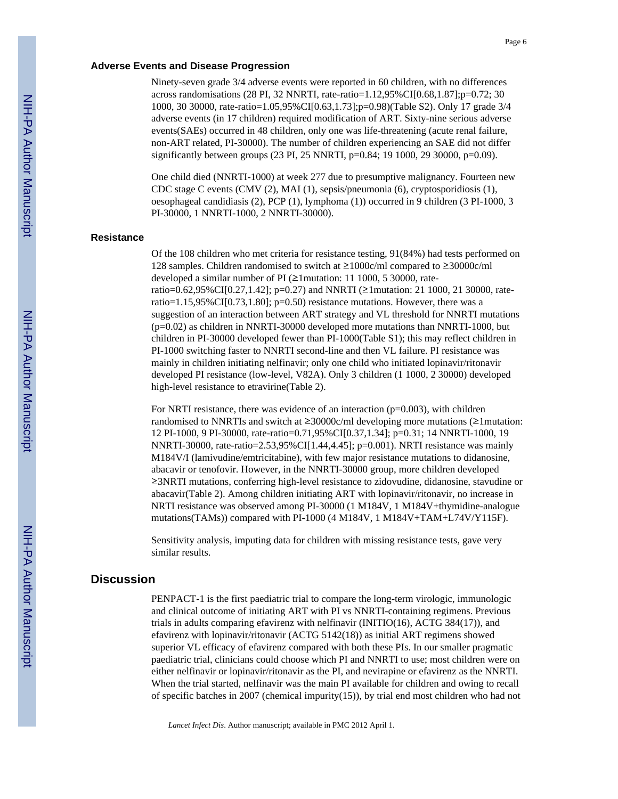#### **Adverse Events and Disease Progression**

Ninety-seven grade 3/4 adverse events were reported in 60 children, with no differences across randomisations (28 PI, 32 NNRTI, rate-ratio=1.12,95%CI[0.68,1.87];p=0.72; 30 1000, 30 30000, rate-ratio=1.05,95%CI[0.63,1.73];p=0.98)(Table S2). Only 17 grade 3/4 adverse events (in 17 children) required modification of ART. Sixty-nine serious adverse events(SAEs) occurred in 48 children, only one was life-threatening (acute renal failure, non-ART related, PI-30000). The number of children experiencing an SAE did not differ significantly between groups (23 PI, 25 NNRTI, p=0.84; 19 1000, 29 30000, p=0.09).

One child died (NNRTI-1000) at week 277 due to presumptive malignancy. Fourteen new CDC stage C events (CMV (2), MAI (1), sepsis/pneumonia (6), cryptosporidiosis (1), oesophageal candidiasis (2), PCP (1), lymphoma (1)) occurred in 9 children (3 PI-1000, 3 PI-30000, 1 NNRTI-1000, 2 NNRTI-30000).

#### **Resistance**

Of the 108 children who met criteria for resistance testing, 91(84%) had tests performed on 128 samples. Children randomised to switch at ≥1000c/ml compared to ≥30000c/ml developed a similar number of PI (≥1mutation: 11 1000, 5 30000, rateratio=0.62,95%CI[0.27,1.42]; p=0.27) and NNRTI ( $\geq$ 1mutation: 21 1000, 21 30000, rateratio=1.15,95%CI[0.73,1.80]; p=0.50) resistance mutations. However, there was a suggestion of an interaction between ART strategy and VL threshold for NNRTI mutations (p=0.02) as children in NNRTI-30000 developed more mutations than NNRTI-1000, but children in PI-30000 developed fewer than PI-1000(Table S1); this may reflect children in PI-1000 switching faster to NNRTI second-line and then VL failure. PI resistance was mainly in children initiating nelfinavir; only one child who initiated lopinavir/ritonavir developed PI resistance (low-level, V82A). Only 3 children (1 1000, 2 30000) developed high-level resistance to etravirine(Table 2).

For NRTI resistance, there was evidence of an interaction (p=0.003), with children randomised to NNRTIs and switch at ≥30000c/ml developing more mutations (≥1mutation: 12 PI-1000, 9 PI-30000, rate-ratio=0.71,95%CI[0.37,1.34]; p=0.31; 14 NNRTI-1000, 19 NNRTI-30000, rate-ratio=2.53,95%CI[1.44,4.45]; p=0.001). NRTI resistance was mainly M184V/I (lamivudine/emtricitabine), with few major resistance mutations to didanosine, abacavir or tenofovir. However, in the NNRTI-30000 group, more children developed ≥3NRTI mutations, conferring high-level resistance to zidovudine, didanosine, stavudine or abacavir(Table 2). Among children initiating ART with lopinavir/ritonavir, no increase in NRTI resistance was observed among PI-30000 (1 M184V, 1 M184V+thymidine-analogue mutations(TAMs)) compared with PI-1000 (4 M184V, 1 M184V+TAM+L74V/Y115F).

Sensitivity analysis, imputing data for children with missing resistance tests, gave very similar results.

# **Discussion**

PENPACT-1 is the first paediatric trial to compare the long-term virologic, immunologic and clinical outcome of initiating ART with PI vs NNRTI-containing regimens. Previous trials in adults comparing efavirenz with nelfinavir (INITIO(16), ACTG 384(17)), and efavirenz with lopinavir/ritonavir (ACTG 5142(18)) as initial ART regimens showed superior VL efficacy of efavirenz compared with both these PIs. In our smaller pragmatic paediatric trial, clinicians could choose which PI and NNRTI to use; most children were on either nelfinavir or lopinavir/ritonavir as the PI, and nevirapine or efavirenz as the NNRTI. When the trial started, nelfinavir was the main PI available for children and owing to recall of specific batches in 2007 (chemical impurity(15)), by trial end most children who had not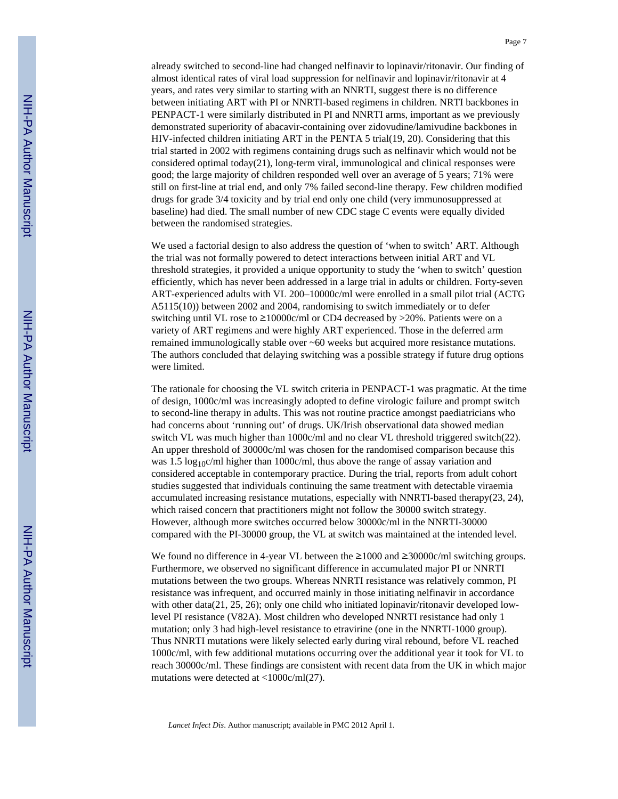Page 7

already switched to second-line had changed nelfinavir to lopinavir/ritonavir. Our finding of almost identical rates of viral load suppression for nelfinavir and lopinavir/ritonavir at 4 years, and rates very similar to starting with an NNRTI, suggest there is no difference between initiating ART with PI or NNRTI-based regimens in children. NRTI backbones in PENPACT-1 were similarly distributed in PI and NNRTI arms, important as we previously demonstrated superiority of abacavir-containing over zidovudine/lamivudine backbones in HIV-infected children initiating ART in the PENTA 5 trial(19, 20). Considering that this trial started in 2002 with regimens containing drugs such as nelfinavir which would not be considered optimal today(21), long-term viral, immunological and clinical responses were good; the large majority of children responded well over an average of 5 years; 71% were still on first-line at trial end, and only 7% failed second-line therapy. Few children modified drugs for grade 3/4 toxicity and by trial end only one child (very immunosuppressed at baseline) had died. The small number of new CDC stage C events were equally divided between the randomised strategies.

We used a factorial design to also address the question of 'when to switch' ART. Although the trial was not formally powered to detect interactions between initial ART and VL threshold strategies, it provided a unique opportunity to study the 'when to switch' question efficiently, which has never been addressed in a large trial in adults or children. Forty-seven ART-experienced adults with VL 200–10000c/ml were enrolled in a small pilot trial (ACTG A5115(10)) between 2002 and 2004, randomising to switch immediately or to defer switching until VL rose to ≥10000c/ml or CD4 decreased by >20%. Patients were on a variety of ART regimens and were highly ART experienced. Those in the deferred arm remained immunologically stable over ~60 weeks but acquired more resistance mutations. The authors concluded that delaying switching was a possible strategy if future drug options were limited.

The rationale for choosing the VL switch criteria in PENPACT-1 was pragmatic. At the time of design, 1000c/ml was increasingly adopted to define virologic failure and prompt switch to second-line therapy in adults. This was not routine practice amongst paediatricians who had concerns about 'running out' of drugs. UK/Irish observational data showed median switch VL was much higher than 1000c/ml and no clear VL threshold triggered switch(22). An upper threshold of 30000c/ml was chosen for the randomised comparison because this was 1.5  $\log_{10}$ c/ml higher than 1000c/ml, thus above the range of assay variation and considered acceptable in contemporary practice. During the trial, reports from adult cohort studies suggested that individuals continuing the same treatment with detectable viraemia accumulated increasing resistance mutations, especially with NNRTI-based therapy(23, 24), which raised concern that practitioners might not follow the 30000 switch strategy. However, although more switches occurred below 30000c/ml in the NNRTI-30000 compared with the PI-30000 group, the VL at switch was maintained at the intended level.

We found no difference in 4-year VL between the ≥1000 and ≥30000c/ml switching groups. Furthermore, we observed no significant difference in accumulated major PI or NNRTI mutations between the two groups. Whereas NNRTI resistance was relatively common, PI resistance was infrequent, and occurred mainly in those initiating nelfinavir in accordance with other data(21, 25, 26); only one child who initiated lopinavir/ritonavir developed lowlevel PI resistance (V82A). Most children who developed NNRTI resistance had only 1 mutation; only 3 had high-level resistance to etravirine (one in the NNRTI-1000 group). Thus NNRTI mutations were likely selected early during viral rebound, before VL reached 1000c/ml, with few additional mutations occurring over the additional year it took for VL to reach 30000c/ml. These findings are consistent with recent data from the UK in which major mutations were detected at <1000c/ml(27).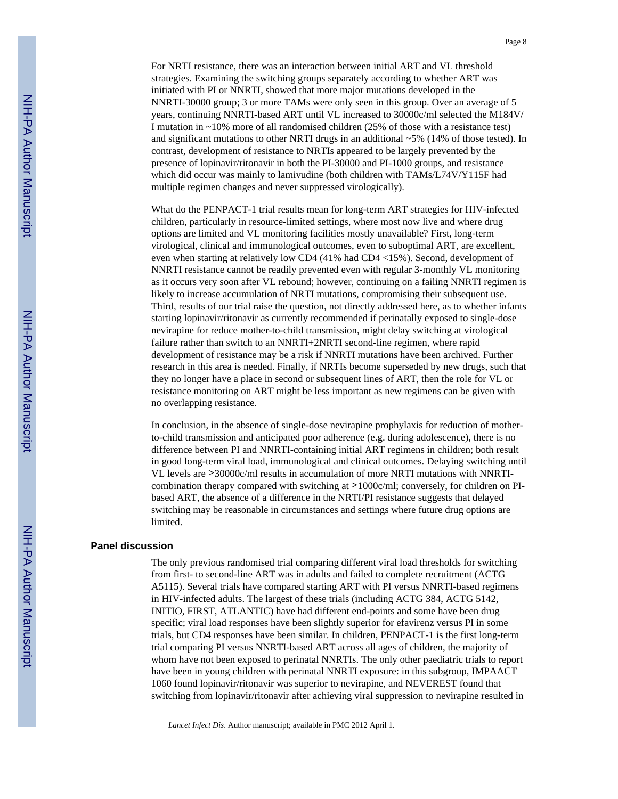For NRTI resistance, there was an interaction between initial ART and VL threshold strategies. Examining the switching groups separately according to whether ART was initiated with PI or NNRTI, showed that more major mutations developed in the NNRTI-30000 group; 3 or more TAMs were only seen in this group. Over an average of 5 years, continuing NNRTI-based ART until VL increased to 30000c/ml selected the M184V/ I mutation in ~10% more of all randomised children (25% of those with a resistance test) and significant mutations to other NRTI drugs in an additional ~5% (14% of those tested). In contrast, development of resistance to NRTIs appeared to be largely prevented by the presence of lopinavir/ritonavir in both the PI-30000 and PI-1000 groups, and resistance which did occur was mainly to lamivudine (both children with TAMs/L74V/Y115F had multiple regimen changes and never suppressed virologically).

What do the PENPACT-1 trial results mean for long-term ART strategies for HIV-infected children, particularly in resource-limited settings, where most now live and where drug options are limited and VL monitoring facilities mostly unavailable? First, long-term virological, clinical and immunological outcomes, even to suboptimal ART, are excellent, even when starting at relatively low CD4 (41% had CD4 <15%). Second, development of NNRTI resistance cannot be readily prevented even with regular 3-monthly VL monitoring as it occurs very soon after VL rebound; however, continuing on a failing NNRTI regimen is likely to increase accumulation of NRTI mutations, compromising their subsequent use. Third, results of our trial raise the question, not directly addressed here, as to whether infants starting lopinavir/ritonavir as currently recommended if perinatally exposed to single-dose nevirapine for reduce mother-to-child transmission, might delay switching at virological failure rather than switch to an NNRTI+2NRTI second-line regimen, where rapid development of resistance may be a risk if NNRTI mutations have been archived. Further research in this area is needed. Finally, if NRTIs become superseded by new drugs, such that they no longer have a place in second or subsequent lines of ART, then the role for VL or resistance monitoring on ART might be less important as new regimens can be given with no overlapping resistance.

In conclusion, in the absence of single-dose nevirapine prophylaxis for reduction of motherto-child transmission and anticipated poor adherence (e.g. during adolescence), there is no difference between PI and NNRTI-containing initial ART regimens in children; both result in good long-term viral load, immunological and clinical outcomes. Delaying switching until VL levels are ≥30000c/ml results in accumulation of more NRTI mutations with NNRTIcombination therapy compared with switching at  $\geq 1000c/\text{ml}$ ; conversely, for children on PIbased ART, the absence of a difference in the NRTI/PI resistance suggests that delayed switching may be reasonable in circumstances and settings where future drug options are limited.

#### **Panel discussion**

The only previous randomised trial comparing different viral load thresholds for switching from first- to second-line ART was in adults and failed to complete recruitment (ACTG A5115). Several trials have compared starting ART with PI versus NNRTI-based regimens in HIV-infected adults. The largest of these trials (including ACTG 384, ACTG 5142, INITIO, FIRST, ATLANTIC) have had different end-points and some have been drug specific; viral load responses have been slightly superior for efavirenz versus PI in some trials, but CD4 responses have been similar. In children, PENPACT-1 is the first long-term trial comparing PI versus NNRTI-based ART across all ages of children, the majority of whom have not been exposed to perinatal NNRTIs. The only other paediatric trials to report have been in young children with perinatal NNRTI exposure: in this subgroup, IMPAACT 1060 found lopinavir/ritonavir was superior to nevirapine, and NEVEREST found that switching from lopinavir/ritonavir after achieving viral suppression to nevirapine resulted in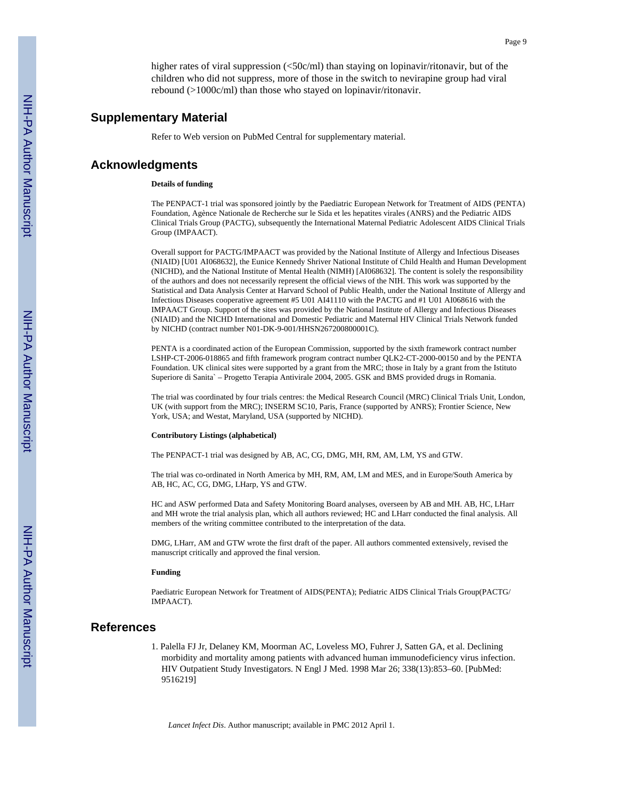higher rates of viral suppression (<50c/ml) than staying on lopinavir/ritonavir, but of the children who did not suppress, more of those in the switch to nevirapine group had viral rebound (>1000c/ml) than those who stayed on lopinavir/ritonavir.

## **Supplementary Material**

Refer to Web version on PubMed Central for supplementary material.

#### **Acknowledgments**

#### **Details of funding**

The PENPACT-1 trial was sponsored jointly by the Paediatric European Network for Treatment of AIDS (PENTA) Foundation, Agènce Nationale de Recherche sur le Sida et les hepatites virales (ANRS) and the Pediatric AIDS Clinical Trials Group (PACTG), subsequently the International Maternal Pediatric Adolescent AIDS Clinical Trials Group (IMPAACT).

Overall support for PACTG/IMPAACT was provided by the National Institute of Allergy and Infectious Diseases (NIAID) [U01 AI068632], the Eunice Kennedy Shriver National Institute of Child Health and Human Development (NICHD), and the National Institute of Mental Health (NIMH) [AI068632]. The content is solely the responsibility of the authors and does not necessarily represent the official views of the NIH. This work was supported by the Statistical and Data Analysis Center at Harvard School of Public Health, under the National Institute of Allergy and Infectious Diseases cooperative agreement #5 U01 AI41110 with the PACTG and #1 U01 AI068616 with the IMPAACT Group. Support of the sites was provided by the National Institute of Allergy and Infectious Diseases (NIAID) and the NICHD International and Domestic Pediatric and Maternal HIV Clinical Trials Network funded by NICHD (contract number N01-DK-9-001/HHSN267200800001C).

PENTA is a coordinated action of the European Commission, supported by the sixth framework contract number LSHP-CT-2006-018865 and fifth framework program contract number QLK2-CT-2000-00150 and by the PENTA Foundation. UK clinical sites were supported by a grant from the MRC; those in Italy by a grant from the Istituto Superiore di Sanita` – Progetto Terapia Antivirale 2004, 2005. GSK and BMS provided drugs in Romania.

The trial was coordinated by four trials centres: the Medical Research Council (MRC) Clinical Trials Unit, London, UK (with support from the MRC); INSERM SC10, Paris, France (supported by ANRS); Frontier Science, New York, USA; and Westat, Maryland, USA (supported by NICHD).

#### **Contributory Listings (alphabetical)**

The PENPACT-1 trial was designed by AB, AC, CG, DMG, MH, RM, AM, LM, YS and GTW.

The trial was co-ordinated in North America by MH, RM, AM, LM and MES, and in Europe/South America by AB, HC, AC, CG, DMG, LHarp, YS and GTW.

HC and ASW performed Data and Safety Monitoring Board analyses, overseen by AB and MH. AB, HC, LHarr and MH wrote the trial analysis plan, which all authors reviewed; HC and LHarr conducted the final analysis. All members of the writing committee contributed to the interpretation of the data.

DMG, LHarr, AM and GTW wrote the first draft of the paper. All authors commented extensively, revised the manuscript critically and approved the final version.

#### **Funding**

Paediatric European Network for Treatment of AIDS(PENTA); Pediatric AIDS Clinical Trials Group(PACTG/ IMPAACT).

## **References**

1. Palella FJ Jr, Delaney KM, Moorman AC, Loveless MO, Fuhrer J, Satten GA, et al. Declining morbidity and mortality among patients with advanced human immunodeficiency virus infection. HIV Outpatient Study Investigators. N Engl J Med. 1998 Mar 26; 338(13):853–60. [PubMed: 9516219]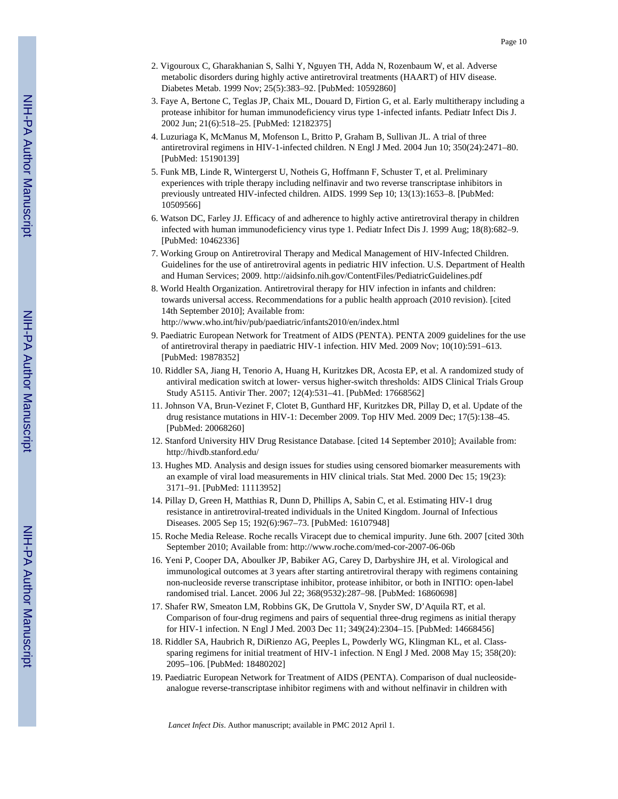- 2. Vigouroux C, Gharakhanian S, Salhi Y, Nguyen TH, Adda N, Rozenbaum W, et al. Adverse metabolic disorders during highly active antiretroviral treatments (HAART) of HIV disease. Diabetes Metab. 1999 Nov; 25(5):383–92. [PubMed: 10592860]
- 3. Faye A, Bertone C, Teglas JP, Chaix ML, Douard D, Firtion G, et al. Early multitherapy including a protease inhibitor for human immunodeficiency virus type 1-infected infants. Pediatr Infect Dis J. 2002 Jun; 21(6):518–25. [PubMed: 12182375]
- 4. Luzuriaga K, McManus M, Mofenson L, Britto P, Graham B, Sullivan JL. A trial of three antiretroviral regimens in HIV-1-infected children. N Engl J Med. 2004 Jun 10; 350(24):2471–80. [PubMed: 15190139]
- 5. Funk MB, Linde R, Wintergerst U, Notheis G, Hoffmann F, Schuster T, et al. Preliminary experiences with triple therapy including nelfinavir and two reverse transcriptase inhibitors in previously untreated HIV-infected children. AIDS. 1999 Sep 10; 13(13):1653–8. [PubMed: 10509566]
- 6. Watson DC, Farley JJ. Efficacy of and adherence to highly active antiretroviral therapy in children infected with human immunodeficiency virus type 1. Pediatr Infect Dis J. 1999 Aug; 18(8):682–9. [PubMed: 10462336]
- 7. Working Group on Antiretroviral Therapy and Medical Management of HIV-Infected Children. Guidelines for the use of antiretroviral agents in pediatric HIV infection. U.S. Department of Health and Human Services; 2009. <http://aidsinfo.nih.gov/ContentFiles/PediatricGuidelines.pdf>
- 8. World Health Organization. Antiretroviral therapy for HIV infection in infants and children: towards universal access. Recommendations for a public health approach (2010 revision). [cited 14th September 2010]; Available from: <http://www.who.int/hiv/pub/paediatric/infants2010/en/index.html>
- 9. Paediatric European Network for Treatment of AIDS (PENTA). PENTA 2009 guidelines for the use of antiretroviral therapy in paediatric HIV-1 infection. HIV Med. 2009 Nov; 10(10):591–613. [PubMed: 19878352]
- 10. Riddler SA, Jiang H, Tenorio A, Huang H, Kuritzkes DR, Acosta EP, et al. A randomized study of antiviral medication switch at lower- versus higher-switch thresholds: AIDS Clinical Trials Group Study A5115. Antivir Ther. 2007; 12(4):531–41. [PubMed: 17668562]
- 11. Johnson VA, Brun-Vezinet F, Clotet B, Gunthard HF, Kuritzkes DR, Pillay D, et al. Update of the drug resistance mutations in HIV-1: December 2009. Top HIV Med. 2009 Dec; 17(5):138–45. [PubMed: 20068260]
- 12. Stanford University HIV Drug Resistance Database. [cited 14 September 2010]; Available from: <http://hivdb.stanford.edu/>
- 13. Hughes MD. Analysis and design issues for studies using censored biomarker measurements with an example of viral load measurements in HIV clinical trials. Stat Med. 2000 Dec 15; 19(23): 3171–91. [PubMed: 11113952]
- 14. Pillay D, Green H, Matthias R, Dunn D, Phillips A, Sabin C, et al. Estimating HIV-1 drug resistance in antiretroviral-treated individuals in the United Kingdom. Journal of Infectious Diseases. 2005 Sep 15; 192(6):967–73. [PubMed: 16107948]
- 15. Roche Media Release. Roche recalls Viracept due to chemical impurity. June 6th. 2007 [cited 30th September 2010; Available from: <http://www.roche.com/med-cor-2007-06-06b>
- 16. Yeni P, Cooper DA, Aboulker JP, Babiker AG, Carey D, Darbyshire JH, et al. Virological and immunological outcomes at 3 years after starting antiretroviral therapy with regimens containing non-nucleoside reverse transcriptase inhibitor, protease inhibitor, or both in INITIO: open-label randomised trial. Lancet. 2006 Jul 22; 368(9532):287–98. [PubMed: 16860698]
- 17. Shafer RW, Smeaton LM, Robbins GK, De Gruttola V, Snyder SW, D'Aquila RT, et al. Comparison of four-drug regimens and pairs of sequential three-drug regimens as initial therapy for HIV-1 infection. N Engl J Med. 2003 Dec 11; 349(24):2304–15. [PubMed: 14668456]
- 18. Riddler SA, Haubrich R, DiRienzo AG, Peeples L, Powderly WG, Klingman KL, et al. Classsparing regimens for initial treatment of HIV-1 infection. N Engl J Med. 2008 May 15; 358(20): 2095–106. [PubMed: 18480202]
- 19. Paediatric European Network for Treatment of AIDS (PENTA). Comparison of dual nucleosideanalogue reverse-transcriptase inhibitor regimens with and without nelfinavir in children with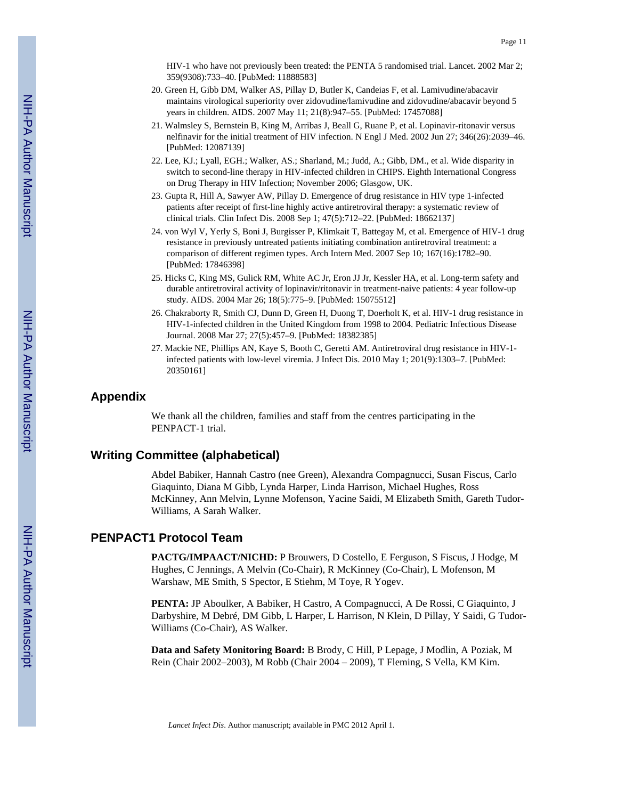HIV-1 who have not previously been treated: the PENTA 5 randomised trial. Lancet. 2002 Mar 2; 359(9308):733–40. [PubMed: 11888583]

- 20. Green H, Gibb DM, Walker AS, Pillay D, Butler K, Candeias F, et al. Lamivudine/abacavir maintains virological superiority over zidovudine/lamivudine and zidovudine/abacavir beyond 5 years in children. AIDS. 2007 May 11; 21(8):947–55. [PubMed: 17457088]
- 21. Walmsley S, Bernstein B, King M, Arribas J, Beall G, Ruane P, et al. Lopinavir-ritonavir versus nelfinavir for the initial treatment of HIV infection. N Engl J Med. 2002 Jun 27; 346(26):2039–46. [PubMed: 12087139]
- 22. Lee, KJ.; Lyall, EGH.; Walker, AS.; Sharland, M.; Judd, A.; Gibb, DM., et al. Wide disparity in switch to second-line therapy in HIV-infected children in CHIPS. Eighth International Congress on Drug Therapy in HIV Infection; November 2006; Glasgow, UK.
- 23. Gupta R, Hill A, Sawyer AW, Pillay D. Emergence of drug resistance in HIV type 1-infected patients after receipt of first-line highly active antiretroviral therapy: a systematic review of clinical trials. Clin Infect Dis. 2008 Sep 1; 47(5):712–22. [PubMed: 18662137]
- 24. von Wyl V, Yerly S, Boni J, Burgisser P, Klimkait T, Battegay M, et al. Emergence of HIV-1 drug resistance in previously untreated patients initiating combination antiretroviral treatment: a comparison of different regimen types. Arch Intern Med. 2007 Sep 10; 167(16):1782–90. [PubMed: 17846398]
- 25. Hicks C, King MS, Gulick RM, White AC Jr, Eron JJ Jr, Kessler HA, et al. Long-term safety and durable antiretroviral activity of lopinavir/ritonavir in treatment-naive patients: 4 year follow-up study. AIDS. 2004 Mar 26; 18(5):775–9. [PubMed: 15075512]
- 26. Chakraborty R, Smith CJ, Dunn D, Green H, Duong T, Doerholt K, et al. HIV-1 drug resistance in HIV-1-infected children in the United Kingdom from 1998 to 2004. Pediatric Infectious Disease Journal. 2008 Mar 27; 27(5):457–9. [PubMed: 18382385]
- 27. Mackie NE, Phillips AN, Kaye S, Booth C, Geretti AM. Antiretroviral drug resistance in HIV-1 infected patients with low-level viremia. J Infect Dis. 2010 May 1; 201(9):1303–7. [PubMed: 20350161]

#### **Appendix**

We thank all the children, families and staff from the centres participating in the PENPACT-1 trial.

#### **Writing Committee (alphabetical)**

Abdel Babiker, Hannah Castro (nee Green), Alexandra Compagnucci, Susan Fiscus, Carlo Giaquinto, Diana M Gibb, Lynda Harper, Linda Harrison, Michael Hughes, Ross McKinney, Ann Melvin, Lynne Mofenson, Yacine Saidi, M Elizabeth Smith, Gareth Tudor-Williams, A Sarah Walker.

# **PENPACT1 Protocol Team**

**PACTG/IMPAACT/NICHD:** P Brouwers, D Costello, E Ferguson, S Fiscus, J Hodge, M Hughes, C Jennings, A Melvin (Co-Chair), R McKinney (Co-Chair), L Mofenson, M Warshaw, ME Smith, S Spector, E Stiehm, M Toye, R Yogev.

**PENTA:** JP Aboulker, A Babiker, H Castro, A Compagnucci, A De Rossi, C Giaquinto, J Darbyshire, M Debré, DM Gibb, L Harper, L Harrison, N Klein, D Pillay, Y Saidi, G Tudor-Williams (Co-Chair), AS Walker.

**Data and Safety Monitoring Board:** B Brody, C Hill, P Lepage, J Modlin, A Poziak, M Rein (Chair 2002–2003), M Robb (Chair 2004 – 2009), T Fleming, S Vella, KM Kim.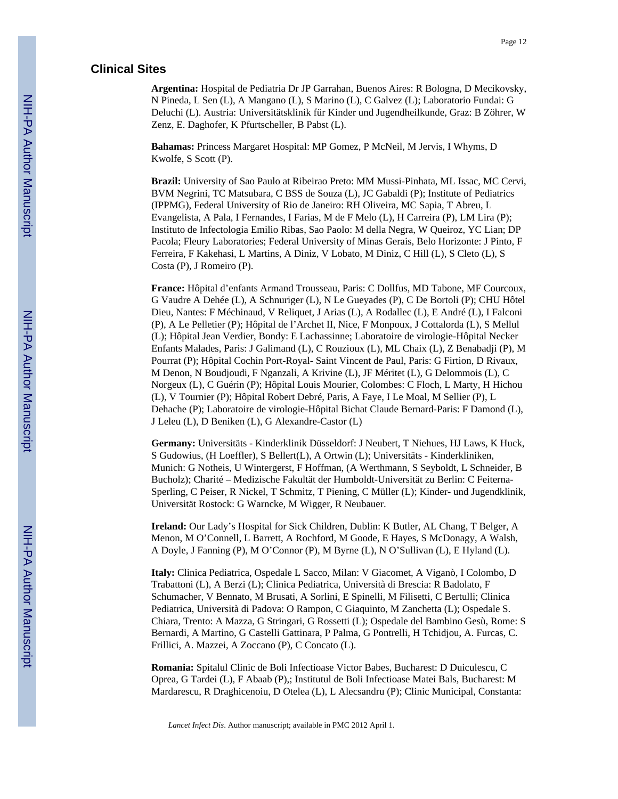# **Clinical Sites**

**Argentina:** Hospital de Pediatria Dr JP Garrahan, Buenos Aires: R Bologna, D Mecikovsky, N Pineda, L Sen (L), A Mangano (L), S Marino (L), C Galvez (L); Laboratorio Fundai: G Deluchi (L). Austria: Universitätsklinik für Kinder und Jugendheilkunde, Graz: B Zöhrer, W Zenz, E. Daghofer, K Pfurtscheller, B Pabst (L).

**Bahamas:** Princess Margaret Hospital: MP Gomez, P McNeil, M Jervis, I Whyms, D Kwolfe, S Scott (P).

**Brazil:** University of Sao Paulo at Ribeirao Preto: MM Mussi-Pinhata, ML Issac, MC Cervi, BVM Negrini, TC Matsubara, C BSS de Souza (L), JC Gabaldi (P); Institute of Pediatrics (IPPMG), Federal University of Rio de Janeiro: RH Oliveira, MC Sapia, T Abreu, L Evangelista, A Pala, I Fernandes, I Farias, M de F Melo (L), H Carreira (P), LM Lira (P); Instituto de Infectologia Emilio Ribas, Sao Paolo: M della Negra, W Queiroz, YC Lian; DP Pacola; Fleury Laboratories; Federal University of Minas Gerais, Belo Horizonte: J Pinto, F Ferreira, F Kakehasi, L Martins, A Diniz, V Lobato, M Diniz, C Hill (L), S Cleto (L), S Costa (P), J Romeiro (P).

**France:** Hôpital d'enfants Armand Trousseau, Paris: C Dollfus, MD Tabone, MF Courcoux, G Vaudre A Dehée (L), A Schnuriger (L), N Le Gueyades (P), C De Bortoli (P); CHU Hôtel Dieu, Nantes: F Méchinaud, V Reliquet, J Arias (L), A Rodallec (L), E André (L), I Falconi (P), A Le Pelletier (P); Hôpital de l'Archet II, Nice, F Monpoux, J Cottalorda (L), S Mellul (L); Hôpital Jean Verdier, Bondy: E Lachassinne; Laboratoire de virologie-Hôpital Necker Enfants Malades, Paris: J Galimand (L), C Rouzioux (L), ML Chaix (L), Z Benabadji (P), M Pourrat (P); Hôpital Cochin Port-Royal- Saint Vincent de Paul, Paris: G Firtion, D Rivaux, M Denon, N Boudjoudi, F Nganzali, A Krivine (L), JF Méritet (L), G Delommois (L), C Norgeux (L), C Guérin (P); Hôpital Louis Mourier, Colombes: C Floch, L Marty, H Hichou (L), V Tournier (P); Hôpital Robert Debré, Paris, A Faye, I Le Moal, M Sellier (P), L Dehache (P); Laboratoire de virologie-Hôpital Bichat Claude Bernard-Paris: F Damond (L), J Leleu (L), D Beniken (L), G Alexandre-Castor (L)

**Germany:** Universitäts - Kinderklinik Düsseldorf: J Neubert, T Niehues, HJ Laws, K Huck, S Gudowius, (H Loeffler), S Bellert(L), A Ortwin (L); Universitäts - Kinderkliniken, Munich: G Notheis, U Wintergerst, F Hoffman, (A Werthmann, S Seyboldt, L Schneider, B Bucholz); Charité – Medizische Fakultät der Humboldt-Universität zu Berlin: C Feiterna-Sperling, C Peiser, R Nickel, T Schmitz, T Piening, C Müller (L); Kinder- und Jugendklinik, Universität Rostock: G Warncke, M Wigger, R Neubauer.

**Ireland:** Our Lady's Hospital for Sick Children, Dublin: K Butler, AL Chang, T Belger, A Menon, M O'Connell, L Barrett, A Rochford, M Goode, E Hayes, S McDonagy, A Walsh, A Doyle, J Fanning (P), M O'Connor (P), M Byrne (L), N O'Sullivan (L), E Hyland (L).

**Italy:** Clinica Pediatrica, Ospedale L Sacco, Milan: V Giacomet, A Viganò, I Colombo, D Trabattoni (L), A Berzi (L); Clinica Pediatrica, Università di Brescia: R Badolato, F Schumacher, V Bennato, M Brusati, A Sorlini, E Spinelli, M Filisetti, C Bertulli; Clinica Pediatrica, Università di Padova: O Rampon, C Giaquinto, M Zanchetta (L); Ospedale S. Chiara, Trento: A Mazza, G Stringari, G Rossetti (L); Ospedale del Bambino Gesù, Rome: S Bernardi, A Martino, G Castelli Gattinara, P Palma, G Pontrelli, H Tchidjou, A. Furcas, C. Frillici, A. Mazzei, A Zoccano (P), C Concato (L).

**Romania:** Spitalul Clinic de Boli Infectioase Victor Babes, Bucharest: D Duiculescu, C Oprea, G Tardei (L), F Abaab (P),; Institutul de Boli Infectioase Matei Bals, Bucharest: M Mardarescu, R Draghicenoiu, D Otelea (L), L Alecsandru (P); Clinic Municipal, Constanta: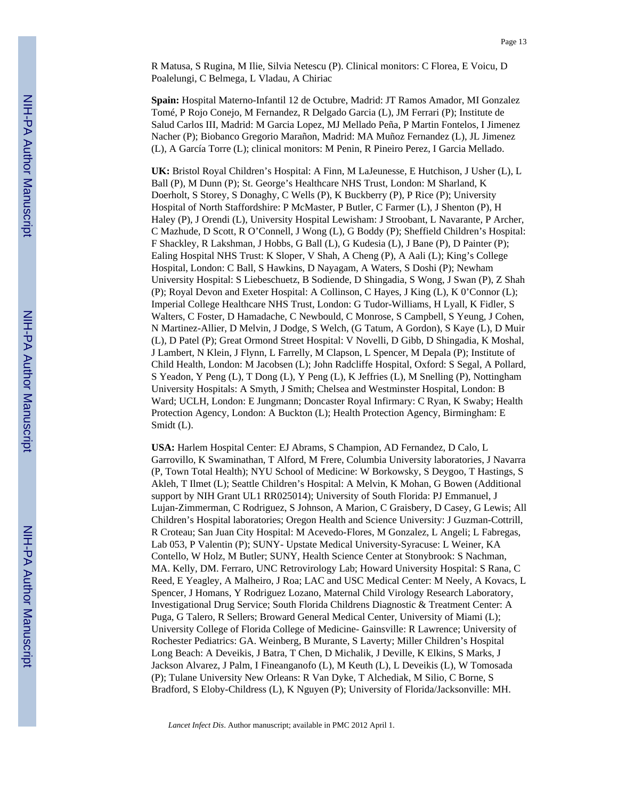R Matusa, S Rugina, M Ilie, Silvia Netescu (P). Clinical monitors: C Florea, E Voicu, D Poalelungi, C Belmega, L Vladau, A Chiriac

**Spain:** Hospital Materno-Infantil 12 de Octubre, Madrid: JT Ramos Amador, MI Gonzalez Tomé, P Rojo Conejo, M Fernandez, R Delgado Garcia (L), JM Ferrari (P); Institute de Salud Carlos III, Madrid: M Garcia Lopez, MJ Mellado Peña, P Martin Fontelos, I Jimenez Nacher (P); Biobanco Gregorio Marañon, Madrid: MA Muñoz Fernandez (L), JL Jimenez (L), A García Torre (L); clinical monitors: M Penin, R Pineiro Perez, I Garcia Mellado.

**UK:** Bristol Royal Children's Hospital: A Finn, M LaJeunesse, E Hutchison, J Usher (L), L Ball (P), M Dunn (P); St. George's Healthcare NHS Trust, London: M Sharland, K Doerholt, S Storey, S Donaghy, C Wells (P), K Buckberry (P), P Rice (P); University Hospital of North Staffordshire: P McMaster, P Butler, C Farmer (L), J Shenton (P), H Haley (P), J Orendi (L), University Hospital Lewisham: J Stroobant, L Navarante, P Archer, C Mazhude, D Scott, R O'Connell, J Wong (L), G Boddy (P); Sheffield Children's Hospital: F Shackley, R Lakshman, J Hobbs, G Ball (L), G Kudesia (L), J Bane (P), D Painter (P); Ealing Hospital NHS Trust: K Sloper, V Shah, A Cheng (P), A Aali (L); King's College Hospital, London: C Ball, S Hawkins, D Nayagam, A Waters, S Doshi (P); Newham University Hospital: S Liebeschuetz, B Sodiende, D Shingadia, S Wong, J Swan (P), Z Shah (P); Royal Devon and Exeter Hospital: A Collinson, C Hayes, J King (L), K 0'Connor (L); Imperial College Healthcare NHS Trust, London: G Tudor-Williams, H Lyall, K Fidler, S Walters, C Foster, D Hamadache, C Newbould, C Monrose, S Campbell, S Yeung, J Cohen, N Martinez-Allier, D Melvin, J Dodge, S Welch, (G Tatum, A Gordon), S Kaye (L), D Muir (L), D Patel (P); Great Ormond Street Hospital: V Novelli, D Gibb, D Shingadia, K Moshal, J Lambert, N Klein, J Flynn, L Farrelly, M Clapson, L Spencer, M Depala (P); Institute of Child Health, London: M Jacobsen (L); John Radcliffe Hospital, Oxford: S Segal, A Pollard, S Yeadon, Y Peng (L), T Dong (L), Y Peng (L), K Jeffries (L), M Snelling (P), Nottingham University Hospitals: A Smyth, J Smith; Chelsea and Westminster Hospital, London: B Ward; UCLH, London: E Jungmann; Doncaster Royal Infirmary: C Ryan, K Swaby; Health Protection Agency, London: A Buckton (L); Health Protection Agency, Birmingham: E Smidt (L).

**USA:** Harlem Hospital Center: EJ Abrams, S Champion, AD Fernandez, D Calo, L Garrovillo, K Swaminathan, T Alford, M Frere, Columbia University laboratories, J Navarra (P, Town Total Health); NYU School of Medicine: W Borkowsky, S Deygoo, T Hastings, S Akleh, T Ilmet (L); Seattle Children's Hospital: A Melvin, K Mohan, G Bowen (Additional support by NIH Grant UL1 RR025014); University of South Florida: PJ Emmanuel, J Lujan-Zimmerman, C Rodriguez, S Johnson, A Marion, C Graisbery, D Casey, G Lewis; All Children's Hospital laboratories; Oregon Health and Science University: J Guzman-Cottrill, R Croteau; San Juan City Hospital: M Acevedo-Flores, M Gonzalez, L Angeli; L Fabregas, Lab 053, P Valentin (P); SUNY- Upstate Medical University-Syracuse: L Weiner, KA Contello, W Holz, M Butler; SUNY, Health Science Center at Stonybrook: S Nachman, MA. Kelly, DM. Ferraro, UNC Retrovirology Lab; Howard University Hospital: S Rana, C Reed, E Yeagley, A Malheiro, J Roa; LAC and USC Medical Center: M Neely, A Kovacs, L Spencer, J Homans, Y Rodriguez Lozano, Maternal Child Virology Research Laboratory, Investigational Drug Service; South Florida Childrens Diagnostic & Treatment Center: A Puga, G Talero, R Sellers; Broward General Medical Center, University of Miami (L); University College of Florida College of Medicine- Gainsville: R Lawrence; University of Rochester Pediatrics: GA. Weinberg, B Murante, S Laverty; Miller Children's Hospital Long Beach: A Deveikis, J Batra, T Chen, D Michalik, J Deville, K Elkins, S Marks, J Jackson Alvarez, J Palm, I Fineanganofo (L), M Keuth (L), L Deveikis (L), W Tomosada (P); Tulane University New Orleans: R Van Dyke, T Alchediak, M Silio, C Borne, S Bradford, S Eloby-Childress (L), K Nguyen (P); University of Florida/Jacksonville: MH.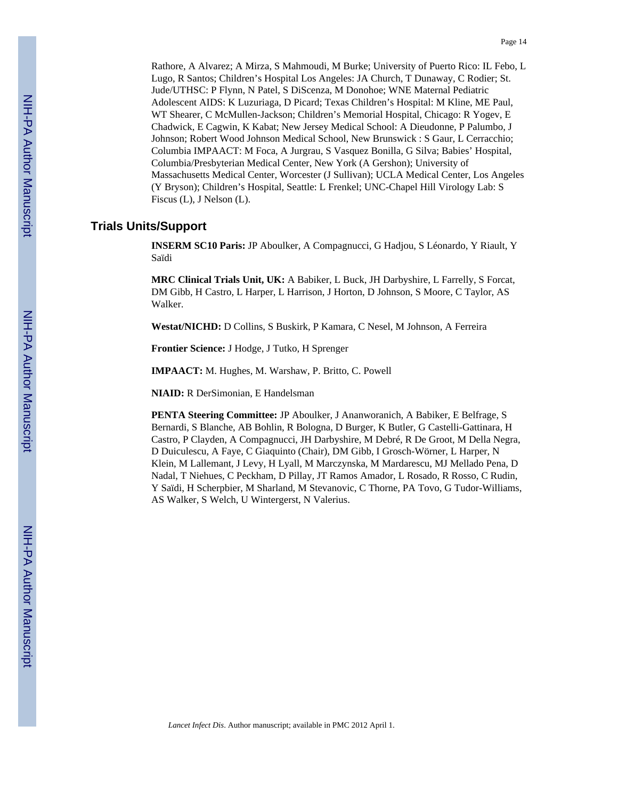Rathore, A Alvarez; A Mirza, S Mahmoudi, M Burke; University of Puerto Rico: IL Febo, L Lugo, R Santos; Children's Hospital Los Angeles: JA Church, T Dunaway, C Rodier; St. Jude/UTHSC: P Flynn, N Patel, S DiScenza, M Donohoe; WNE Maternal Pediatric Adolescent AIDS: K Luzuriaga, D Picard; Texas Children's Hospital: M Kline, ME Paul, WT Shearer, C McMullen-Jackson; Children's Memorial Hospital, Chicago: R Yogev, E Chadwick, E Cagwin, K Kabat; New Jersey Medical School: A Dieudonne, P Palumbo, J Johnson; Robert Wood Johnson Medical School, New Brunswick : S Gaur, L Cerracchio; Columbia IMPAACT: M Foca, A Jurgrau, S Vasquez Bonilla, G Silva; Babies' Hospital, Columbia/Presbyterian Medical Center, New York (A Gershon); University of Massachusetts Medical Center, Worcester (J Sullivan); UCLA Medical Center, Los Angeles (Y Bryson); Children's Hospital, Seattle: L Frenkel; UNC-Chapel Hill Virology Lab: S Fiscus (L), J Nelson (L).

# **Trials Units/Support**

**INSERM SC10 Paris:** JP Aboulker, A Compagnucci, G Hadjou, S Léonardo, Y Riault, Y Saïdi

**MRC Clinical Trials Unit, UK:** A Babiker, L Buck, JH Darbyshire, L Farrelly, S Forcat, DM Gibb, H Castro, L Harper, L Harrison, J Horton, D Johnson, S Moore, C Taylor, AS Walker.

**Westat/NICHD:** D Collins, S Buskirk, P Kamara, C Nesel, M Johnson, A Ferreira

**Frontier Science:** J Hodge, J Tutko, H Sprenger

**IMPAACT:** M. Hughes, M. Warshaw, P. Britto, C. Powell

**NIAID:** R DerSimonian, E Handelsman

**PENTA Steering Committee:** JP Aboulker, J Ananworanich, A Babiker, E Belfrage, S Bernardi, S Blanche, AB Bohlin, R Bologna, D Burger, K Butler, G Castelli-Gattinara, H Castro, P Clayden, A Compagnucci, JH Darbyshire, M Debré, R De Groot, M Della Negra, D Duiculescu, A Faye, C Giaquinto (Chair), DM Gibb, I Grosch-Wörner, L Harper, N Klein, M Lallemant, J Levy, H Lyall, M Marczynska, M Mardarescu, MJ Mellado Pena, D Nadal, T Niehues, C Peckham, D Pillay, JT Ramos Amador, L Rosado, R Rosso, C Rudin, Y Saïdi, H Scherpbier, M Sharland, M Stevanovic, C Thorne, PA Tovo, G Tudor-Williams, AS Walker, S Welch, U Wintergerst, N Valerius.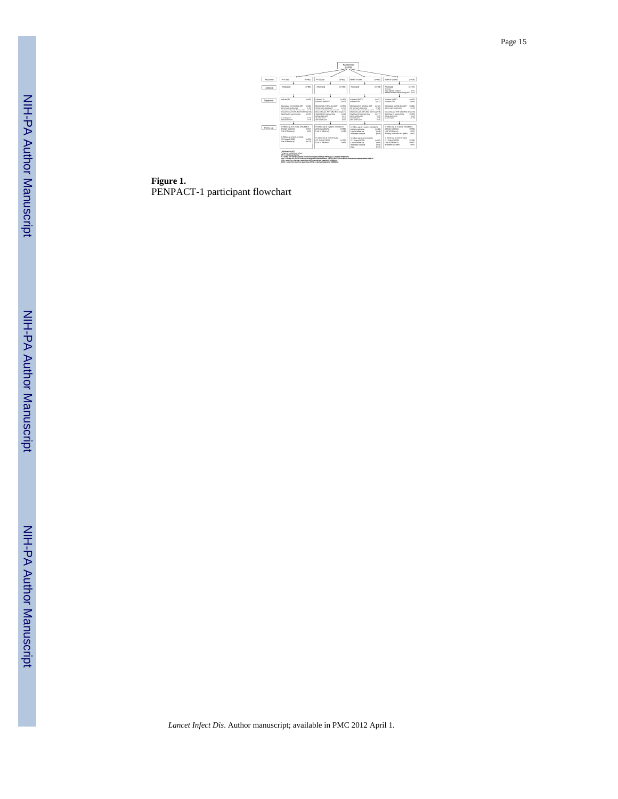

**Figure 1.** PENPACT-1 participant flowchart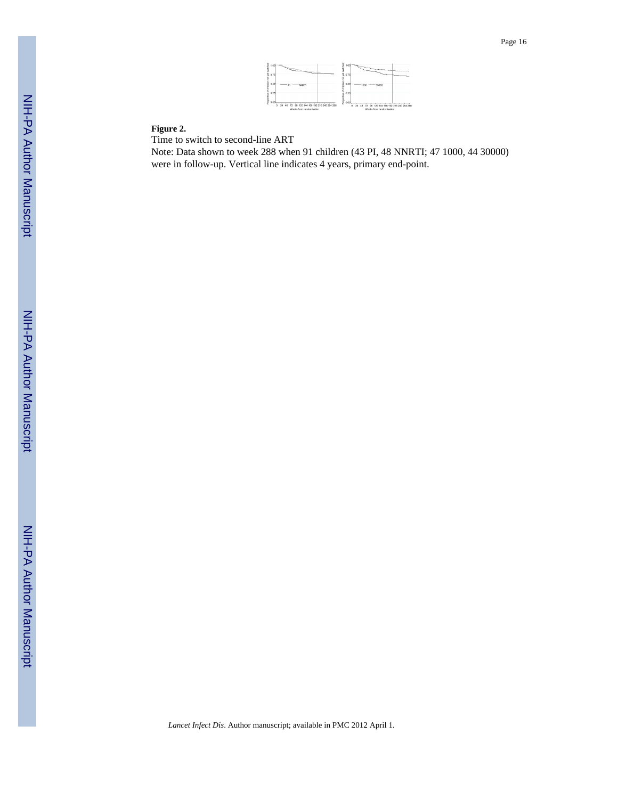| 1.00 <sub>1</sub>                                                                 | 1.00                                                            |
|-----------------------------------------------------------------------------------|-----------------------------------------------------------------|
| 0.75                                                                              | 0.75<br>ŧ                                                       |
| 0.50<br><b>NNRTI</b><br>P                                                         | 0.50<br>1000<br>$--- 30000$<br>۰                                |
| 0.25                                                                              | 0.25                                                            |
| 0.00 <sub>5</sub><br>72 96 120 144 168 192 216 240 264 288<br>$\circ$<br>24<br>48 | 0.00<br>120 144 168 192 216 240 264 288<br>oe<br>24<br>48<br>T2 |



Time to switch to second-line ART

Note: Data shown to week 288 when 91 children (43 PI, 48 NNRTI; 47 1000, 44 30000) were in follow-up. Vertical line indicates 4 years, primary end-point.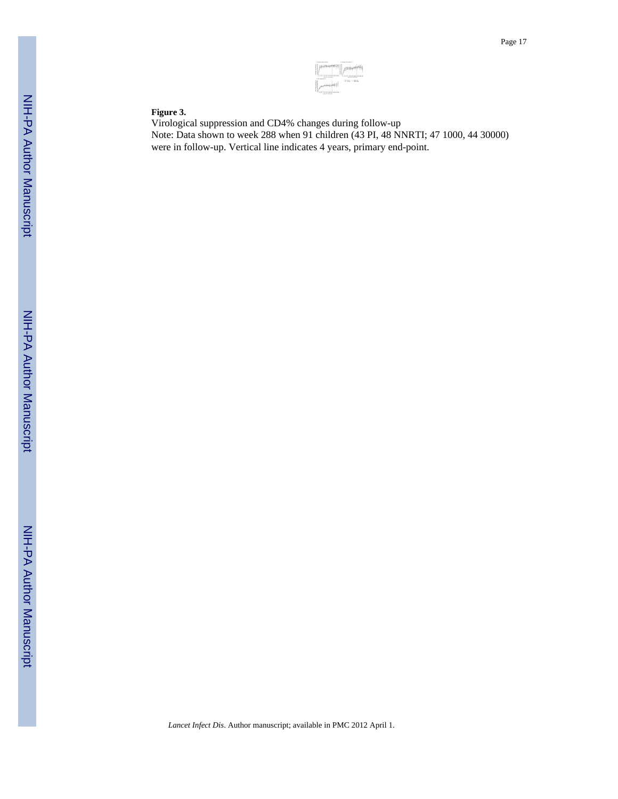

#### **Figure 3.**

Virological suppression and CD4% changes during follow-up Note: Data shown to week 288 when 91 children (43 PI, 48 NNRTI; 47 1000, 44 30000) were in follow-up. Vertical line indicates 4 years, primary end-point.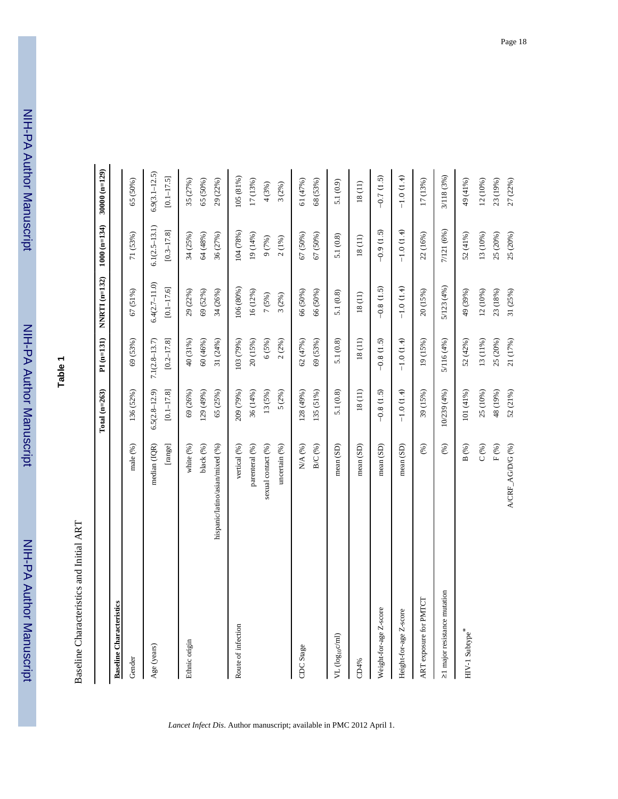# **Table 1**

Baseline Characteristics and Initial ART Baseline Characteristics and Initial ART

|                                 |                                                                       | Total $(n=263)$                           | $PI(m=131)$                             | <b>NNRTI</b> (n=132)                     | $1000 (n=134)$                             | $30000 (n=129)$                         |
|---------------------------------|-----------------------------------------------------------------------|-------------------------------------------|-----------------------------------------|------------------------------------------|--------------------------------------------|-----------------------------------------|
| <b>Baseline Characteristics</b> |                                                                       |                                           |                                         |                                          |                                            |                                         |
| Gender                          | male (%)                                                              | 136 (52%)                                 | 69 (53%)                                | 67 (51%)                                 | 71 (53%)                                   | 65 (50%)                                |
| Age (years)                     | median (IQR)<br>[range]                                               | $6.5(2.8 - 12.9)$<br>$[0.1 - 17.8]$       | $7.1(2.8 - 13.7)$<br>$[0.2 - 17.8]$     | $6.4(2.7 - 11.0)$<br>$[0.1 - 17.6]$      | $6.1(2.5-13.1)$<br>$[0.3 - 17.8]$          | $6.9(3.1 - 12.5)$<br>$[0.1 - 17.5]$     |
| Ethnic origin                   | white (%)<br>black (%)<br>hispanic/latino/asian/mixed (%)             | 129 (49%)<br>69 (26%)<br>65 (25%)         | 40 (31%)<br>60 (46%)<br>31 (24%)        | 29 (22%)<br>69 (52%)<br>34 (26%)         | 34 (25%)<br>64 (48%)<br>36 (27%)           | 35 (27%)<br>65 (50%)<br>29 (22%)        |
| Route of infection              | vertical (%)<br>parenteral (%)<br>sexual contact (%)<br>uncertain (%) | 209 (79%)<br>36 (14%)<br>13 (5%)<br>5(2%) | 20 (15%)<br>103 (79%)<br>6(5%)<br>2(2%) | 106 (80%)<br>16 (12%)<br>7 (5%)<br>3(2%) | 104 (78%)<br>19 (14%)<br>9(7%)<br>$2(1\%)$ | 105 (81%)<br>17 (13%)<br>4(3%)<br>3(2%) |
| CDC Stage                       | N/A (%)<br>B/C (%)                                                    | 135 (51%)<br>128(49%)                     | 52 (47%)<br>69 (53%)                    | 66 (50%)<br>66 (50%)                     | 67 (50%)<br>67 (50%)                       | 61 (47%)<br>68 (53%)                    |
| VL (log <sub>10</sub> c/ml)     | mean (SD)                                                             | 5.1(0.8)                                  | 5.1(0.8)                                | 5.1(0.8)                                 | 5.1(0.8)                                   | 5.1(0.9)                                |
| CD4%                            | mean (SD)                                                             | 18(11)                                    | 18(11)                                  | 18(11)                                   | 18(11)                                     | $18(11)$                                |
| Weight-for-age Z-score          | mean (SD)                                                             | $-0.8(1.5)$                               | $-0.8(1.5)$                             | $-0.8(1.5)$                              | $-0.9(1.5)$                                | $-0.7(1.5)$                             |
| Height-for-age Z-score          | mean (SD)                                                             | $-1.0(1.4)$                               | $-1.0(1.4)$                             | $-1.0(1.4)$                              | $-1.0(1.4)$                                | $-1.0(1.4)$                             |
| ART exposure for PMTCT          | (%)                                                                   | 39 (15%)                                  | 19 (15%)                                | 20 (15%)                                 | 22 (16%)                                   | 17 (13%)                                |
| 21 major resistance mutation    | (96)                                                                  | 10/239 (4%)                               | 5/116 (4%)                              | 5/123 (4%)                               | 7/121 (6%)                                 | 3/118 (3%)                              |
| HIV-1 Subtype <sup>*</sup>      | B (%)                                                                 | 101 (41%)                                 | 52 (42%)                                | 49 (39%)                                 | 52 (41%)                                   | 49 (41%)                                |
|                                 | C(%)                                                                  | 25 (10%)                                  | 13 (11%)                                | 12(10%)                                  | 13 (10%)                                   | 12(10%)                                 |
|                                 | ${\rm F}$ (%)                                                         | 48 (19%)                                  | 25 (20%)                                | 23 (18%)                                 | 25 (20%)                                   | 23 (19%)                                |
|                                 | A/CRF_AG/D/G (%)                                                      | 52 (21%)                                  | 21 (17%)                                | 31 (25%)                                 | 25 (20%)                                   | 27 (22%)                                |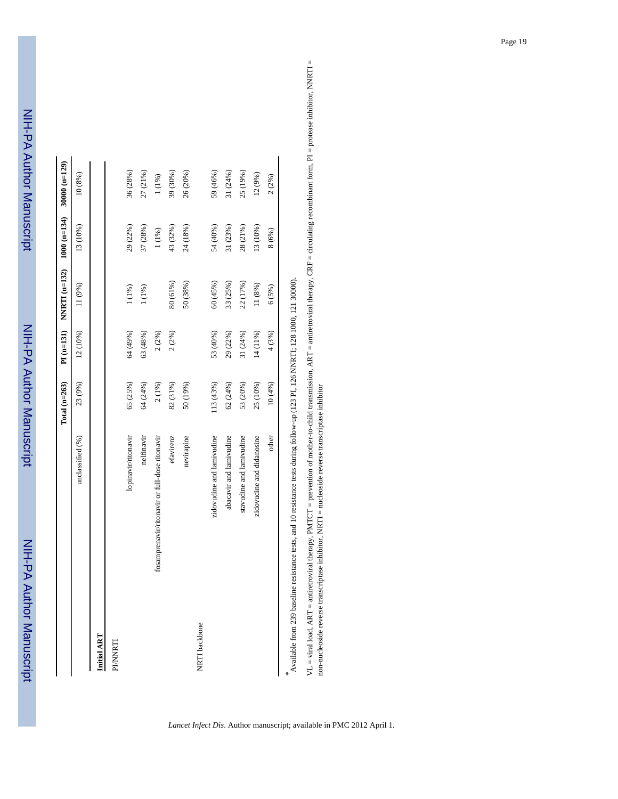|               |                                                | Total $(n=263)$ |          | PI (n=131) NNRTI (n=132) 1000 (n=134) |          | $30000 (n=129)$ |
|---------------|------------------------------------------------|-----------------|----------|---------------------------------------|----------|-----------------|
|               | unclassified (%)                               | 23 (9%)         | 12 (10%) | 11 (9%)                               | 13 (10%) | 10(8%           |
| Initial ART   |                                                |                 |          |                                       |          |                 |
| PI/NNRTI      |                                                |                 |          |                                       |          |                 |
|               | lopinavir/ritonavir                            | 65 (25%)        | 64 (49%) | 1 (1%)                                | 29 (22%) | 36 (28%)        |
|               | nelfinavir                                     | 64 (24%)        | 63 (48%) | 1(1%)                                 | 37 (28%) | 27 (21%)        |
|               | fosamprenavir/ritonavir or full-dose ritonavir | 2(1%)           | 2(2%)    |                                       | 1(1%)    | 1(1%)           |
|               | efavirenz                                      | 82 (31%)        | 2(2%)    | 80 (61%)                              | 43 (32%) | 39 (30%)        |
|               | nevirapine                                     | 50 (19%)        |          | 50 (38%)                              | 24 (18%) | 26 (20%)        |
| NRTI backbone |                                                |                 |          |                                       |          |                 |
|               | zidovudine and lamivudine                      | 113 (43%)       | 53 (40%) | 60(45%)                               | 54 (40%) | 59 (46%)        |
|               | abacavir and lamivudine                        | $62(24\%)$      | 29 (22%) | 33 (25%)                              | 31 (23%) | 31 (24%)        |
|               | stavudine and lamivudine                       | 53 (20%)        | 31 (24%) | 22 (17%)                              | 28 (21%) | 25 (19%)        |
|               | zidovudine and didanosine                      | 25 (10%)        | 14 (11%) | 11 (8%)                               | 13 (10%) | 12(9%)          |
|               | other                                          | 10(4%)          | 4(3%)    | 6(5%)                                 | 8(6%)    | 2(2%)           |

VL = viral load, ART = antiretroviral therapy, PMTCT = prevention of mother-to-child transmission, ART = antiretroviral therapy, CRF = circulating recombinant form, PI = protease inhibitor, NNRTI = non-nucleoside reverse t VL = viral load, ART = antiretroviral therapy, PMTCT = prevention of mother-to-child transmission, ART = antiretroviral therapy, CRF = circulating recombinant form, PI = protease inhibitor, NNRTI =

non-nucleoside reverse transcriptase inhibitor, NRTI = nucleoside reverse transcriptase inhibitor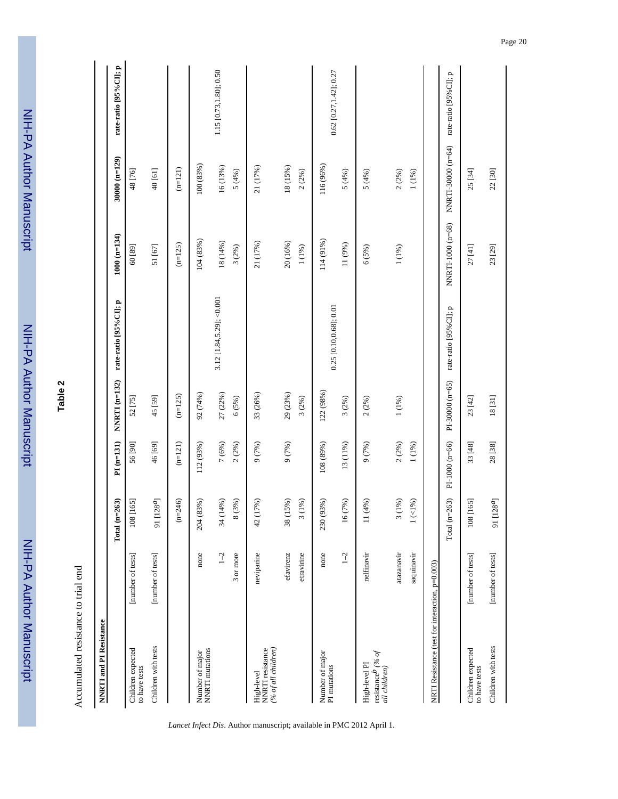| Accumulated resistance to trial end                                |                   |                                     |                |                   |                          |                   |                    |                        |
|--------------------------------------------------------------------|-------------------|-------------------------------------|----------------|-------------------|--------------------------|-------------------|--------------------|------------------------|
| <b>NNRTI</b> and PI Resistance                                     |                   |                                     |                |                   |                          |                   |                    |                        |
|                                                                    |                   | Total ( $n=263$ )                   | $PI(m=131)$    | NNRTI $(n=132)$   | rate-ratio [95%CI]; p    | $1000 (n=134)$    | $30000 (n=129)$    | rate-ratio [95%CI]; p  |
| Children expected<br>to have tests                                 | [number of tests] | [65]<br>108 <sub>[1</sub>           | 56 [90]        | 52 [75]           |                          | <b>68</b> 09      | 48 [76]            |                        |
| Children with tests                                                | [number of tests] | 91 [128 <sup><math>a</math></sup> ] | 46 [69]        | 45 [59]           |                          | 51 [67]           | 40 [61]            |                        |
|                                                                    |                   | $(n=246)$                           | $(n=121)$      | $(n=125)$         |                          | $(n=125)$         | $(n=121)$          |                        |
| Number of major<br>NNRTI mutations                                 | none              | 204 (83%)                           | 112 (93%)      | 92 (74%)          |                          | 104 (83%)         | 100 (83%)          |                        |
|                                                                    | $1\text{--}2$     | 34 (14%)                            | 7(6%)          | 27 (22%)          | 3.12 [1.84,5.29]; <0.001 | 18 (14%)          | 16 (13%)           | 1.15 [0.73,1.80]; 0.50 |
|                                                                    | 3 or more         | 8 (3%)                              | 2(2%)          | 6 (5%)            |                          | 3(2%)             | 5(4%)              |                        |
| ( % of all children)<br>NNRTI resistance<br>High-level             | neviparine        | 7%)<br>42(1)                        | 9(7%)          | 33 (26%)          |                          | 21 (17%)          | 21 (17%)           |                        |
|                                                                    | efavirenz         | 5%)<br>38(1)                        | 9(7%)          | 29 (23%)          |                          | 20 (16%)          | 18 (15%)           |                        |
|                                                                    | etravirine        | 3 (1%)                              |                | 3(2%)             |                          | 1(1%)             | 2(2%)              |                        |
| Number of major<br>PI mutations                                    | none              | 230 (93%)                           | 108 (89%)      | 122 (98%)         | $0.25$ [0.10,0.68]; 0.01 | 114 (91%)         | 116 (96%)          | 0.62 [0.27,1.42]; 0.27 |
|                                                                    | $1 - 2$           | 16 (7%)                             | 13 (11%)       | 3(2%)             |                          | 11 (9%)           | 5(4%)              |                        |
| resistance<br>$\theta$ ( $\%$ of<br>High-level PI<br>all children) | nelfinavir        | 11 (4%)                             | 9 (7%)         | 2(2%)             |                          | 6(5%)             | 5(4%)              |                        |
|                                                                    | atazanavir        | 3 (1%)                              | 2(2%)          | $1(1\%)$          |                          | $1(1\%)$          | 2(2%)              |                        |
|                                                                    | saquinavir        | $1 (1\%)$                           | $1\ (1\%)$     |                   |                          |                   | $1(1\%)$           |                        |
| NRTI Resistance (test for interaction, p=0.003)                    |                   |                                     |                |                   |                          |                   |                    |                        |
|                                                                    |                   | Total $(n=263)$                     | PI-1000 (n=66) | $PI-30000 (n=65)$ | rate-ratio [95%CI]; p    | NNRTI-1000 (n=68) | NNRTI-30000 (n=64) | rate-ratio [95%CI]; p  |
| Children expected<br>to have tests                                 | [number of tests] | [65]<br>$108\,$ [1                  | 33 [48]        | 23 [42]           |                          | 27 [41]           | 25 [34]            |                        |
| Children with tests                                                | [number of tests] | 91 [128 <sup><math>a</math></sup> ] | $28\,[38]$     | $18\ [31]$        |                          | 23 [29]           | 22 [30]            |                        |

*Lancet Infect Dis*. Author manuscript; available in PMC 2012 April 1.

NIH-PA Author Manuscript NIH-PA Author Manuscript

 NIH-PA Author ManuscriptNIH-PA Author Manuscript

**Table 2**

 NIH-PA Author Manuscript NIH-PA Author Manuscript Page 20